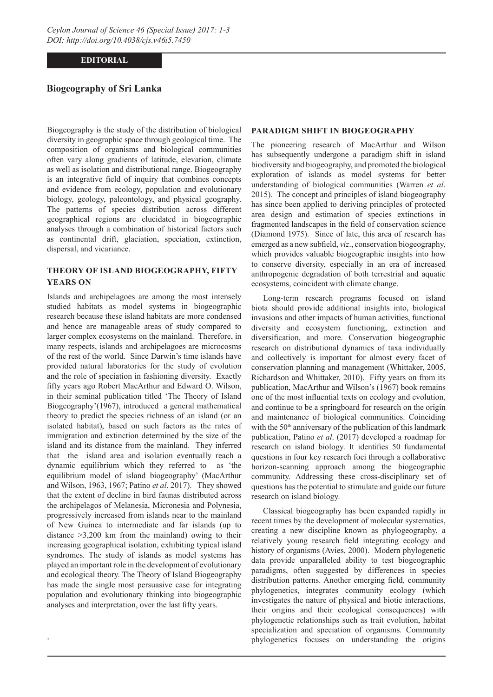### **EDITORIAL**

### **Biogeography of Sri Lanka**

Biogeography is the study of the distribution of biological diversity in geographic space through geological time. The composition of organisms and biological communities often vary along gradients of latitude, elevation, climate as well as isolation and distributional range. Biogeography is an integrative field of inquiry that combines concepts and evidence from ecology, population and evolutionary biology, geology, paleontology, and physical geography. The patterns of species distribution across different geographical regions are elucidated in biogeographic analyses through a combination of historical factors such as continental drift, glaciation, speciation, extinction, dispersal, and vicariance.

# **THEORY OF ISLAND BIOGEOGRAPHY, FIFTY YEARS ON**

Islands and archipelagoes are among the most intensely studied habitats as model systems in biogeographic research because these island habitats are more condensed and hence are manageable areas of study compared to larger complex ecosystems on the mainland. Therefore, in many respects, islands and archipelagoes are microcosms of the rest of the world. Since Darwin's time islands have provided natural laboratories for the study of evolution and the role of speciation in fashioning diversity. Exactly fifty years ago Robert MacArthur and Edward O. Wilson, in their seminal publication titled 'The Theory of Island Biogeography'(1967), introduced a general mathematical theory to predict the species richness of an island (or an isolated habitat), based on such factors as the rates of immigration and extinction determined by the size of the island and its distance from the mainland. They inferred that the island area and isolation eventually reach a dynamic equilibrium which they referred to as 'the equilibrium model of island biogeography' (MacArthur and Wilson, 1963, 1967; Patino *et al*. 2017). They showed that the extent of decline in bird faunas distributed across the archipelagos of Melanesia, Micronesia and Polynesia, progressively increased from islands near to the mainland of New Guinea to intermediate and far islands (up to distance >3,200 km from the mainland) owing to their increasing geographical isolation, exhibiting typical island syndromes. The study of islands as model systems has played an important role in the development of evolutionary and ecological theory. The Theory of Island Biogeography has made the single most persuasive case for integrating population and evolutionary thinking into biogeographic analyses and interpretation, over the last fifty years.

.

#### **PARADIGM SHIFT IN BIOGEOGRAPHY**

The pioneering research of MacArthur and Wilson has subsequently undergone a paradigm shift in island biodiversity and biogeography, and promoted the biological exploration of islands as model systems for better understanding of biological communities (Warren *et al*. 2015). The concept and principles of island biogeography has since been applied to deriving principles of protected area design and estimation of species extinctions in fragmented landscapes in the field of conservation science (Diamond 1975). Since of late, this area of research has emerged as a new subfield, *viz*., conservation biogeography, which provides valuable biogeographic insights into how to conserve diversity, especially in an era of increased anthropogenic degradation of both terrestrial and aquatic ecosystems, coincident with climate change.

Long-term research programs focused on island biota should provide additional insights into, biological invasions and other impacts of human activities, functional diversity and ecosystem functioning, extinction and diversification, and more. Conservation biogeographic research on distributional dynamics of taxa individually and collectively is important for almost every facet of conservation planning and management (Whittaker, 2005, Richardson and Whittaker, 2010). Fifty years on from its publication, MacArthur and Wilson's (1967) book remains one of the most influential texts on ecology and evolution, and continue to be a springboard for research on the origin and maintenance of biological communities. Coinciding with the  $50<sup>th</sup>$  anniversary of the publication of this landmark publication, Patino *et al*. (2017) developed a roadmap for research on island biology. It identifies 50 fundamental questions in four key research foci through a collaborative horizon-scanning approach among the biogeographic community. Addressing these cross-disciplinary set of questions has the potential to stimulate and guide our future research on island biology.

Classical biogeography has been expanded rapidly in recent times by the development of molecular systematics, creating a new discipline known as phylogeography, a relatively young research field integrating ecology and history of organisms (Avies, 2000). Modern phylogenetic data provide unparalleled ability to test biogeographic paradigms, often suggested by differences in species distribution patterns. Another emerging field, community phylogenetics, integrates community ecology (which investigates the nature of physical and biotic interactions, their origins and their ecological consequences) with phylogenetic relationships such as trait evolution, habitat specialization and speciation of organisms. Community phylogenetics focuses on understanding the origins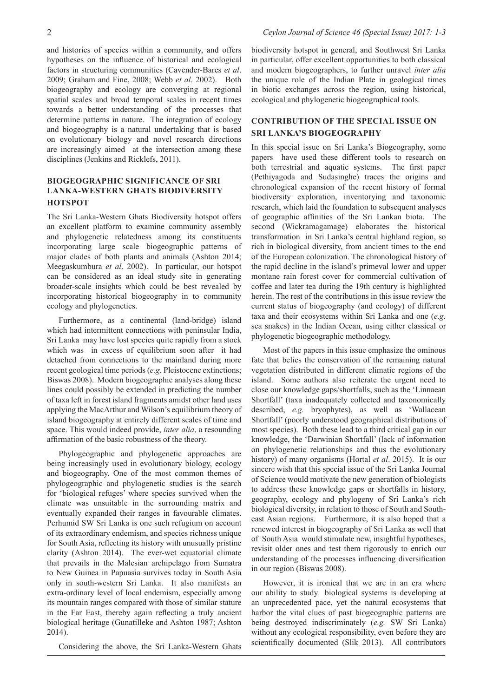and histories of species within a community, and offers hypotheses on the influence of historical and ecological factors in structuring communities (Cavender-Bares *et al*. 2009; Graham and Fine, 2008; Webb *et al*. 2002).Both biogeography and ecology are converging at regional spatial scales and broad temporal scales in recent times towards a better understanding of the processes that determine patterns in nature. The integration of ecology and biogeography is a natural undertaking that is based on evolutionary biology and novel research directions are increasingly aimed at the intersection among these disciplines (Jenkins and Ricklefs, 2011).

### **BIOGEOGRAPHIC SIGNIFICANCE OF SRI LANKA-WESTERN GHATS BIODIVERSITY HOTSPOT**

The Sri Lanka-Western Ghats Biodiversity hotspot offers an excellent platform to examine community assembly and phylogenetic relatedness among its constituents incorporating large scale biogeographic patterns of major clades of both plants and animals (Ashton 2014; Meegaskumbura *et al*. 2002). In particular, our hotspot can be considered as an ideal study site in generating broader-scale insights which could be best revealed by incorporating historical biogeography in to community ecology and phylogenetics.

Furthermore, as a continental (land-bridge) island which had intermittent connections with peninsular India, Sri Lanka may have lost species quite rapidly from a stock which was in excess of equilibrium soon after it had detached from connections to the mainland during more recent geological time periods (*e.g.* Pleistocene extinctions; Biswas 2008). Modern biogeographic analyses along these lines could possibly be extended in predicting the number of taxa left in forest island fragments amidst other land uses applying the MacArthur and Wilson's equilibrium theory of island biogeography at entirely different scales of time and space. This would indeed provide, *inter alia*, a resounding affirmation of the basic robustness of the theory.

Phylogeographic and phylogenetic approaches are being increasingly used in evolutionary biology, ecology and biogeography. One of the most common themes of phylogeographic and phylogenetic studies is the search for 'biological refuges' where species survived when the climate was unsuitable in the surrounding matrix and eventually expanded their ranges in favourable climates. Perhumid SW Sri Lanka is one such refugium on account of its extraordinary endemism, and species richness unique for South Asia, reflecting its history with unusually pristine clarity (Ashton 2014). The ever-wet equatorial climate that prevails in the Malesian archipelago from Sumatra to New Guinea in Papuasia survives today in South Asia only in south-western Sri Lanka. It also manifests an extra-ordinary level of local endemism, especially among its mountain ranges compared with those of similar stature in the Far East, thereby again reflecting a truly ancient biological heritage (Gunatilleke and Ashton 1987; Ashton 2014).

Considering the above, the Sri Lanka-Western Ghats

biodiversity hotspot in general, and Southwest Sri Lanka in particular, offer excellent opportunities to both classical and modern biogeographers, to further unravel *inter alia* the unique role of the Indian Plate in geological times in biotic exchanges across the region, using historical, ecological and phylogenetic biogeographical tools.

## **CONTRIBUTION OF THE SPECIAL ISSUE ON SRI LANKA'S BIOGEOGRAPHY**

In this special issue on Sri Lanka's Biogeography, some papers have used these different tools to research on both terrestrial and aquatic systems. The first paper (Pethiyagoda and Sudasinghe) traces the origins and chronological expansion of the recent history of formal biodiversity exploration, inventorying and taxonomic research, which laid the foundation to subsequent analyses of geographic affinities of the Sri Lankan biota. The second (Wickramagamage) elaborates the historical transformation in Sri Lanka's central highland region, so rich in biological diversity, from ancient times to the end of the European colonization. The chronological history of the rapid decline in the island's primeval lower and upper montane rain forest cover for commercial cultivation of coffee and later tea during the 19th century is highlighted herein. The rest of the contributions in this issue review the current status of biogeography (and ecology) of different taxa and their ecosystems within Sri Lanka and one (*e.g.* sea snakes) in the Indian Ocean, using either classical or phylogenetic biogeographic methodology.

Most of the papers in this issue emphasize the ominous fate that belies the conservation of the remaining natural vegetation distributed in different climatic regions of the island. Some authors also reiterate the urgent need to close our knowledge gaps/shortfalls, such as the 'Linnaean Shortfall' (taxa inadequately collected and taxonomically described, *e.g.* bryophytes), as well as 'Wallacean Shortfall' (poorly understood geographical distributions of most species). Both these lead to a third critical gap in our knowledge, the 'Darwinian Shortfall' (lack of information on phylogenetic relationships and thus the evolutionary history) of many organisms (Hortal *et al*. 2015). It is our sincere wish that this special issue of the Sri Lanka Journal of Science would motivate the new generation of biologists to address these knowledge gaps or shortfalls in history, geography, ecology and phylogeny of Sri Lanka's rich biological diversity, in relation to those of South and Southeast Asian regions. Furthermore, it is also hoped that a renewed interest in biogeography of Sri Lanka as well that of South Asia would stimulate new, insightful hypotheses, revisit older ones and test them rigorously to enrich our understanding of the processes influencing diversification in our region (Biswas 2008).

However, it is ironical that we are in an era where our ability to study biological systems is developing at an unprecedented pace, yet the natural ecosystems that harbor the vital clues of past biogeographic patterns are being destroyed indiscriminately (*e.g.* SW Sri Lanka) without any ecological responsibility, even before they are scientifically documented (Slik 2013). All contributors